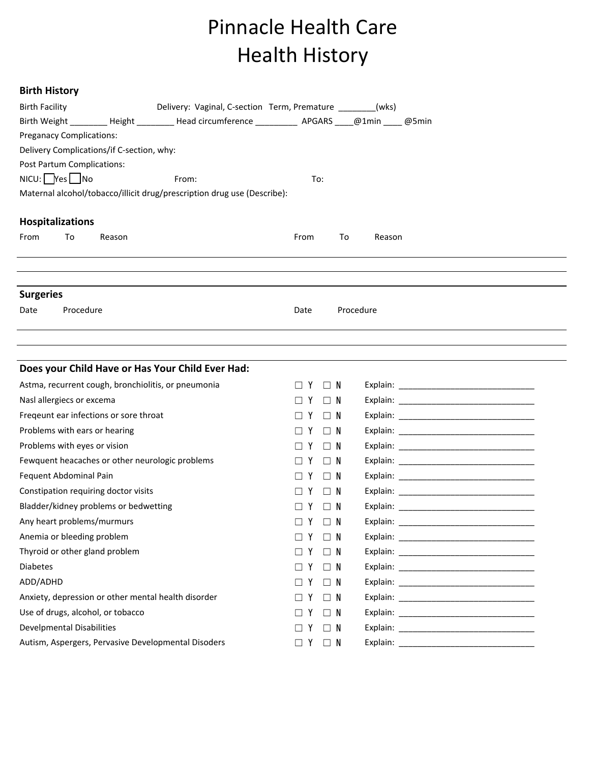## Pinnacle Health Care Health History

## **Birth History**

| <b>Birth Facility</b>                     |                                  |                                        | Delivery: Vaginal, C-section Term, Premature _______(wks)                                       |                   |          |           |  |  |  |  |  |
|-------------------------------------------|----------------------------------|----------------------------------------|-------------------------------------------------------------------------------------------------|-------------------|----------|-----------|--|--|--|--|--|
|                                           |                                  |                                        | Birth Weight ________ Height ________ Head circumference __________ APGARS ____@1min ____ @5min |                   |          |           |  |  |  |  |  |
| <b>Preganacy Complications:</b>           |                                  |                                        |                                                                                                 |                   |          |           |  |  |  |  |  |
| Delivery Complications/if C-section, why: |                                  |                                        |                                                                                                 |                   |          |           |  |  |  |  |  |
| Post Partum Complications:                |                                  |                                        |                                                                                                 |                   |          |           |  |  |  |  |  |
|                                           | $NICU:$ $Nes$ $No$               |                                        | From:                                                                                           | To:               |          |           |  |  |  |  |  |
|                                           |                                  |                                        | Maternal alcohol/tobacco/illicit drug/prescription drug use (Describe):                         |                   |          |           |  |  |  |  |  |
|                                           | <b>Hospitalizations</b>          |                                        |                                                                                                 |                   |          |           |  |  |  |  |  |
| From                                      | To                               | Reason                                 |                                                                                                 | From              | To       | Reason    |  |  |  |  |  |
|                                           |                                  |                                        |                                                                                                 |                   |          |           |  |  |  |  |  |
|                                           |                                  |                                        |                                                                                                 |                   |          |           |  |  |  |  |  |
| <b>Surgeries</b>                          |                                  |                                        |                                                                                                 |                   |          |           |  |  |  |  |  |
| Date                                      | Procedure                        |                                        |                                                                                                 | Date              |          | Procedure |  |  |  |  |  |
|                                           |                                  |                                        |                                                                                                 |                   |          |           |  |  |  |  |  |
|                                           |                                  |                                        |                                                                                                 |                   |          |           |  |  |  |  |  |
|                                           |                                  |                                        | Does your Child Have or Has Your Child Ever Had:                                                |                   |          |           |  |  |  |  |  |
|                                           |                                  |                                        | Astma, recurrent cough, bronchiolitis, or pneumonia                                             | Y                 | $\Box$ N |           |  |  |  |  |  |
|                                           | Nasl allergiecs or excema        |                                        |                                                                                                 | $\Box$ Y          | $\Box$ N |           |  |  |  |  |  |
|                                           |                                  | Freqeunt ear infections or sore throat |                                                                                                 |                   | $\Box$ N |           |  |  |  |  |  |
|                                           |                                  | Problems with ears or hearing          |                                                                                                 |                   | $\Box$ N |           |  |  |  |  |  |
|                                           | Problems with eyes or vision     |                                        |                                                                                                 | Y                 | $\Box$ N |           |  |  |  |  |  |
|                                           |                                  |                                        | Fewquent heacaches or other neurologic problems                                                 |                   | $\Box$ N |           |  |  |  |  |  |
|                                           | Fequent Abdominal Pain           |                                        |                                                                                                 |                   | $\Box$ N |           |  |  |  |  |  |
|                                           |                                  | Constipation requiring doctor visits   |                                                                                                 |                   | $\Box$ N |           |  |  |  |  |  |
|                                           |                                  | Bladder/kidney problems or bedwetting  |                                                                                                 |                   | - N      |           |  |  |  |  |  |
|                                           |                                  | Any heart problems/murmurs             |                                                                                                 | ∐ Y               | $\Box$ N |           |  |  |  |  |  |
|                                           | Anemia or bleeding problem       |                                        |                                                                                                 | $\Box$ Y          | $\Box$ N |           |  |  |  |  |  |
|                                           |                                  | Thyroid or other gland problem         |                                                                                                 |                   | $\Box$ N |           |  |  |  |  |  |
| <b>Diabetes</b>                           |                                  |                                        |                                                                                                 | Y                 | $\Box$ N |           |  |  |  |  |  |
| ADD/ADHD                                  |                                  |                                        |                                                                                                 |                   | $\Box$ N |           |  |  |  |  |  |
|                                           |                                  |                                        | Anxiety, depression or other mental health disorder                                             |                   | $\Box$ N |           |  |  |  |  |  |
|                                           |                                  | Use of drugs, alcohol, or tobacco      |                                                                                                 | $\Box$            | $\Box$ N |           |  |  |  |  |  |
|                                           | <b>Develpmental Disabilities</b> |                                        |                                                                                                 |                   | $\Box$ N |           |  |  |  |  |  |
|                                           |                                  |                                        | Autism, Aspergers, Pervasive Developmental Disoders                                             | $\Box$ Y $\Box$ N |          |           |  |  |  |  |  |